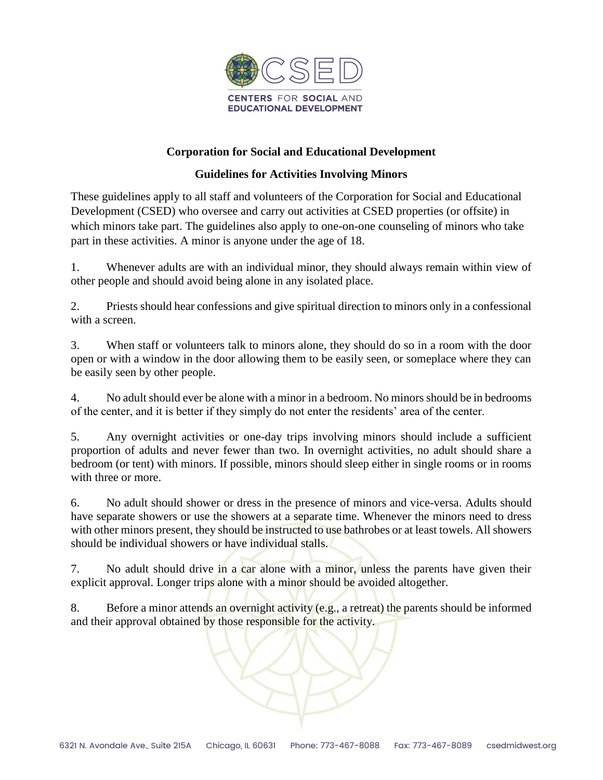

## **Corporation for Social and Educational Development**

## **Guidelines for Activities Involving Minors**

These guidelines apply to all staff and volunteers of the Corporation for Social and Educational Development (CSED) who oversee and carry out activities at CSED properties (or offsite) in which minors take part. The guidelines also apply to one-on-one counseling of minors who take part in these activities. A minor is anyone under the age of 18.

1. Whenever adults are with an individual minor, they should always remain within view of other people and should avoid being alone in any isolated place.

2. Priests should hear confessions and give spiritual direction to minors only in a confessional with a screen.

3. When staff or volunteers talk to minors alone, they should do so in a room with the door open or with a window in the door allowing them to be easily seen, or someplace where they can be easily seen by other people.

4. No adult should ever be alone with a minor in a bedroom. No minors should be in bedrooms of the center, and it is better if they simply do not enter the residents' area of the center.

5. Any overnight activities or one-day trips involving minors should include a sufficient proportion of adults and never fewer than two. In overnight activities, no adult should share a bedroom (or tent) with minors. If possible, minors should sleep either in single rooms or in rooms with three or more.

6. No adult should shower or dress in the presence of minors and vice-versa. Adults should have separate showers or use the showers at a separate time. Whenever the minors need to dress with other minors present, they should be instructed to use bathrobes or at least towels. All showers should be individual showers or have individual stalls.

7. No adult should drive in a car alone with a minor, unless the parents have given their explicit approval. Longer trips alone with a minor should be avoided altogether.

8. Before a minor attends an overnight activity (e.g., a retreat) the parents should be informed and their approval obtained by those responsible for the activity.